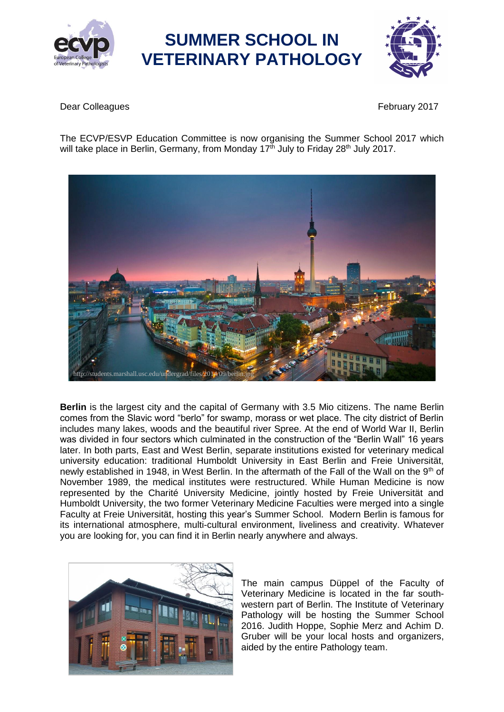



**Dear Colleagues February 2017** 

The ECVP/ESVP Education Committee is now organising the Summer School 2017 which will take place in Berlin, Germany, from Monday 17<sup>th</sup> July to Friday 28<sup>th</sup> July 2017.



**Berlin** is the largest city and the capital of Germany with 3.5 Mio citizens. The name Berlin comes from the Slavic word "berlo" for swamp, morass or wet place. The city district of Berlin includes many lakes, woods and the beautiful river Spree. At the end of World War II, Berlin was divided in four sectors which culminated in the construction of the "Berlin Wall" 16 years later. In both parts, East and West Berlin, separate institutions existed for veterinary medical university education: traditional Humboldt University in East Berlin and Freie Universität, newly established in 1948, in West Berlin. In the aftermath of the Fall of the Wall on the 9<sup>th</sup> of November 1989, the medical institutes were restructured. While Human Medicine is now represented by the Charité University Medicine, jointly hosted by Freie Universität and Humboldt University, the two former Veterinary Medicine Faculties were merged into a single Faculty at Freie Universität, hosting this year's Summer School. Modern Berlin is famous for its international atmosphere, multi-cultural environment, liveliness and creativity. Whatever you are looking for, you can find it in Berlin nearly anywhere and always.



The main campus Düppel of the Faculty of Veterinary Medicine is located in the far southwestern part of Berlin. The Institute of Veterinary Pathology will be hosting the Summer School 2016. Judith Hoppe, Sophie Merz and Achim D. Gruber will be your local hosts and organizers, aided by the entire Pathology team.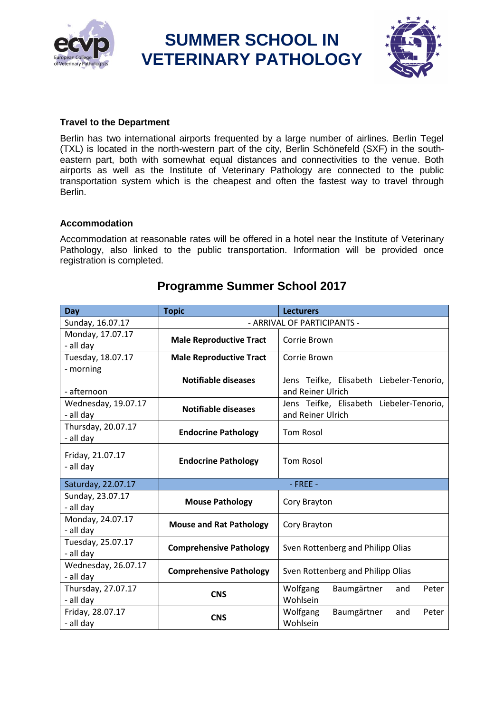

# **Travel to the Department**

Berlin has two international airports frequented by a large number of airlines. Berlin Tegel (TXL) is located in the north-western part of the city, Berlin Schönefeld (SXF) in the southeastern part, both with somewhat equal distances and connectivities to the venue. Both airports as well as the Institute of Veterinary Pathology are connected to the public transportation system which is the cheapest and often the fastest way to travel through Berlin.

#### **Accommodation**

Accommodation at reasonable rates will be offered in a hotel near the Institute of Veterinary Pathology, also linked to the public transportation. Information will be provided once registration is completed.

| Day                 | <b>Topic</b>                   | <b>Lecturers</b>                         |  |
|---------------------|--------------------------------|------------------------------------------|--|
| Sunday, 16.07.17    | - ARRIVAL OF PARTICIPANTS -    |                                          |  |
| Monday, 17.07.17    | <b>Male Reproductive Tract</b> | Corrie Brown                             |  |
| - all day           |                                |                                          |  |
| Tuesday, 18.07.17   | <b>Male Reproductive Tract</b> | Corrie Brown                             |  |
| - morning           |                                |                                          |  |
|                     | <b>Notifiable diseases</b>     | Jens Teifke, Elisabeth Liebeler-Tenorio, |  |
| - afternoon         |                                | and Reiner Ulrich                        |  |
| Wednesday, 19.07.17 | <b>Notifiable diseases</b>     | Jens Teifke, Elisabeth Liebeler-Tenorio, |  |
| - all day           |                                | and Reiner Ulrich                        |  |
| Thursday, 20.07.17  |                                |                                          |  |
| - all day           | <b>Endocrine Pathology</b>     | <b>Tom Rosol</b>                         |  |
|                     |                                |                                          |  |
| Friday, 21.07.17    | <b>Endocrine Pathology</b>     | <b>Tom Rosol</b>                         |  |
| - all day           |                                |                                          |  |
| Saturday, 22.07.17  |                                | $-$ FREE $-$                             |  |
| Sunday, 23.07.17    |                                |                                          |  |
| - all day           | <b>Mouse Pathology</b>         | Cory Brayton                             |  |
| Monday, 24.07.17    | <b>Mouse and Rat Pathology</b> | Cory Brayton                             |  |
| - all day           |                                |                                          |  |
| Tuesday, 25.07.17   |                                | Sven Rottenberg and Philipp Olias        |  |
| - all day           | <b>Comprehensive Pathology</b> |                                          |  |
| Wednesday, 26.07.17 |                                |                                          |  |
| - all day           | <b>Comprehensive Pathology</b> | Sven Rottenberg and Philipp Olias        |  |
| Thursday, 27.07.17  |                                | Wolfgang<br>Baumgärtner<br>Peter<br>and  |  |
| - all day           | <b>CNS</b>                     | Wohlsein                                 |  |
| Friday, 28.07.17    | <b>CNS</b>                     | Baumgärtner<br>Wolfgang<br>Peter<br>and  |  |
| - all day           |                                | Wohlsein                                 |  |

# **Programme Summer School 2017**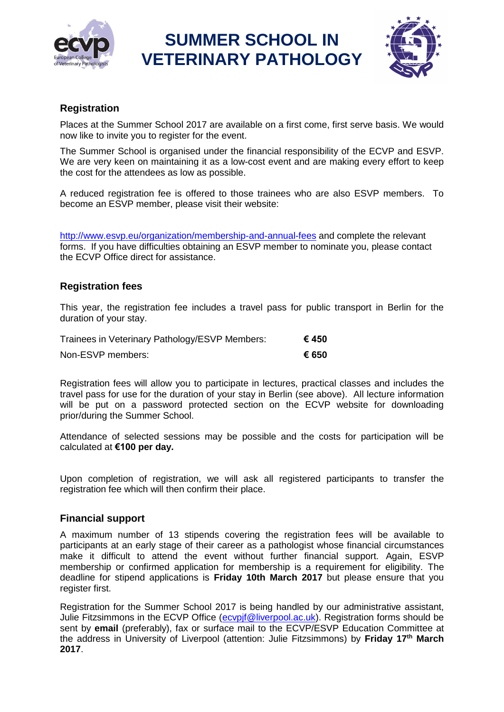



### **Registration**

Places at the Summer School 2017 are available on a first come, first serve basis. We would now like to invite you to register for the event.

The Summer School is organised under the financial responsibility of the ECVP and ESVP. We are very keen on maintaining it as a low-cost event and are making every effort to keep the cost for the attendees as low as possible.

A reduced registration fee is offered to those trainees who are also ESVP members. To become an ESVP member, please visit their website:

<http://www.esvp.eu/organization/membership-and-annual-fees> and complete the relevant forms. If you have difficulties obtaining an ESVP member to nominate you, please contact the ECVP Office direct for assistance.

# **Registration fees**

This year, the registration fee includes a travel pass for public transport in Berlin for the duration of your stay.

| Trainees in Veterinary Pathology/ESVP Members: | € 450 |
|------------------------------------------------|-------|
| Non-ESVP members:                              | € 650 |

Registration fees will allow you to participate in lectures, practical classes and includes the travel pass for use for the duration of your stay in Berlin (see above). All lecture information will be put on a password protected section on the ECVP website for downloading prior/during the Summer School.

Attendance of selected sessions may be possible and the costs for participation will be calculated at **€100 per day.**

Upon completion of registration, we will ask all registered participants to transfer the registration fee which will then confirm their place.

### **Financial support**

A maximum number of 13 stipends covering the registration fees will be available to participants at an early stage of their career as a pathologist whose financial circumstances make it difficult to attend the event without further financial support. Again, ESVP membership or confirmed application for membership is a requirement for eligibility. The deadline for stipend applications is **Friday 10th March 2017** but please ensure that you register first.

Registration for the Summer School 2017 is being handled by our administrative assistant, Julie Fitzsimmons in the ECVP Office (ecvpif@liverpool.ac.uk). Registration forms should be sent by **email** (preferably), fax or surface mail to the ECVP/ESVP Education Committee at the address in University of Liverpool (attention: Julie Fitzsimmons) by **Friday 17 th March 2017**.